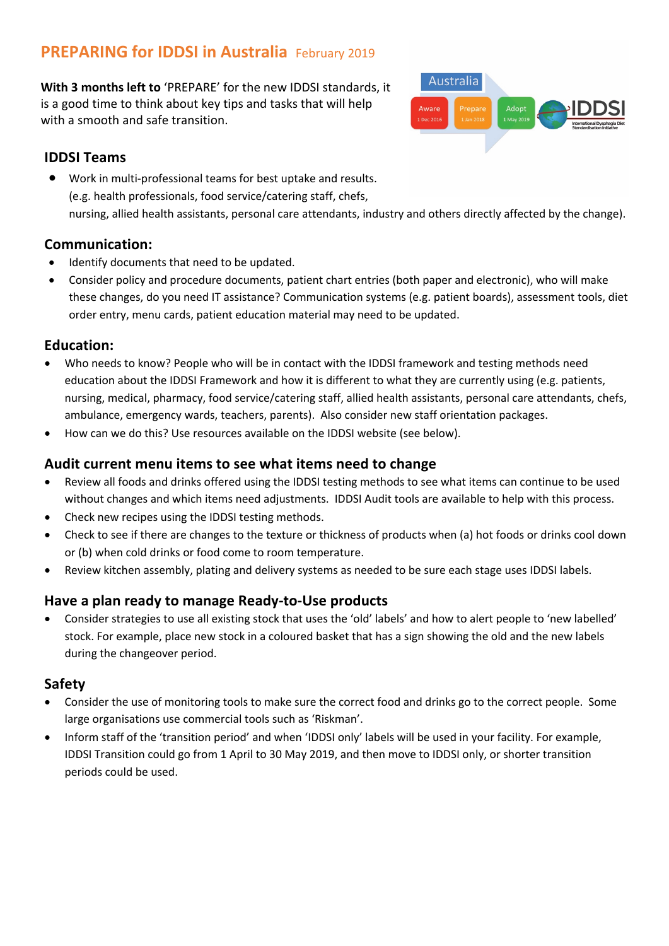# **PREPARING for IDDSI in Australia** February 2019

**With 3 months left to** 'PREPARE' for the new IDDSI standards, it is a good time to think about key tips and tasks that will help with a smooth and safe transition.

# **IDDSI Teams**

• Work in multi-professional teams for best uptake and results. (e.g. health professionals, food service/catering staff, chefs, nursing, allied health assistants, personal care attendants, industry and others directly affected by the change).

### **Communication:**

- Identify documents that need to be updated.
- Consider policy and procedure documents, patient chart entries (both paper and electronic), who will make these changes, do you need IT assistance? Communication systems (e.g. patient boards), assessment tools, diet order entry, menu cards, patient education material may need to be updated.

# **Education:**

- Who needs to know? People who will be in contact with the IDDSI framework and testing methods need education about the IDDSI Framework and how it is different to what they are currently using (e.g. patients, nursing, medical, pharmacy, food service/catering staff, allied health assistants, personal care attendants, chefs, ambulance, emergency wards, teachers, parents). Also consider new staff orientation packages.
- How can we do this? Use resources available on the IDDSI website (see below).

# **Audit current menu items to see what items need to change**

- Review all foods and drinks offered using the IDDSI testing methods to see what items can continue to be used without changes and which items need adjustments. IDDSI Audit tools are available to help with this process.
- Check new recipes using the IDDSI testing methods.
- Check to see if there are changes to the texture or thickness of products when (a) hot foods or drinks cool down or (b) when cold drinks or food come to room temperature.
- Review kitchen assembly, plating and delivery systems as needed to be sure each stage uses IDDSI labels.

# **Have a plan ready to manage Ready-to-Use products**

• Consider strategies to use all existing stock that uses the 'old' labels' and how to alert people to 'new labelled' stock. For example, place new stock in a coloured basket that has a sign showing the old and the new labels during the changeover period.

# **Safety**

- Consider the use of monitoring tools to make sure the correct food and drinks go to the correct people. Some large organisations use commercial tools such as 'Riskman'.
- Inform staff of the 'transition period' and when 'IDDSI only' labels will be used in your facility. For example, IDDSI Transition could go from 1 April to 30 May 2019, and then move to IDDSI only, or shorter transition periods could be used.

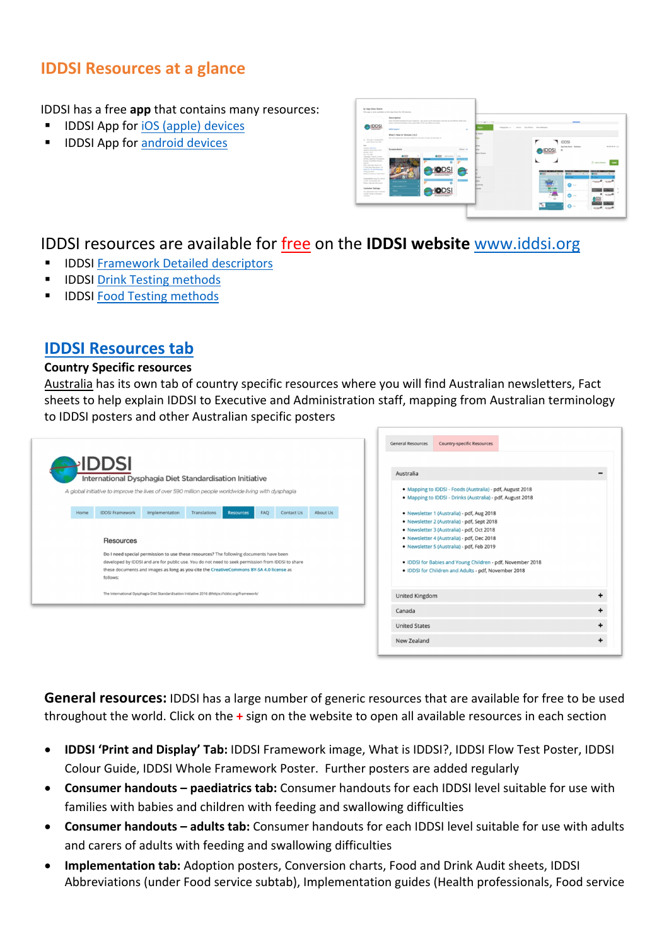# **IDDSI Resources at a glance**

IDDSI has a free **app** that contains many resources:

- § IDDSI App for iOS (apple) devices
- § IDDSI App for android devices



# IDDSI resources are available for free on the **IDDSI website** www.iddsi.org

- § IDDSI Framework Detailed descriptors
- § IDDSI Drink Testing methods
- § IDDSI Food Testing methods

# **IDDSI Resources tab**

#### **Country Specific resources**

Australia has its own tab of country specific resources where you will find Australian newsletters, Fact sheets to help explain IDDSI to Executive and Administration staff, mapping from Australian terminology to IDDSI posters and other Australian specific posters



**General resources:** IDDSI has a large number of generic resources that are available for free to be used throughout the world. Click on the **+** sign on the website to open all available resources in each section

- **IDDSI 'Print and Display' Tab:** IDDSI Framework image, What is IDDSI?, IDDSI Flow Test Poster, IDDSI Colour Guide, IDDSI Whole Framework Poster. Further posters are added regularly
- **Consumer handouts – paediatrics tab:** Consumer handouts for each IDDSI level suitable for use with families with babies and children with feeding and swallowing difficulties
- **Consumer handouts – adults tab:** Consumer handouts for each IDDSI level suitable for use with adults and carers of adults with feeding and swallowing difficulties
- **Implementation tab:** Adoption posters, Conversion charts, Food and Drink Audit sheets, IDDSI Abbreviations (under Food service subtab), Implementation guides (Health professionals, Food service